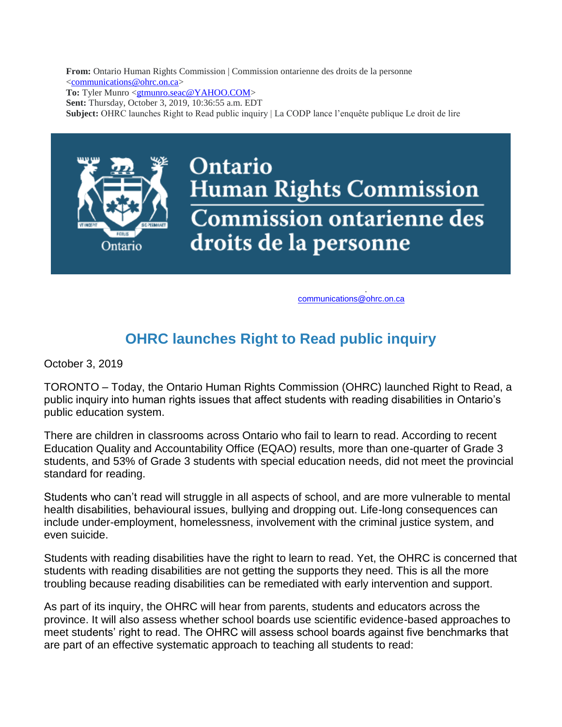**From:** Ontario Human Rights Commission | Commission ontarienne des droits de la personne [<communications@ohrc.on.ca>](mailto:communications@ohrc.on.ca)

**To:** Tyler Munro [<gtmunro.seac@YAHOO.COM>](mailto:gtmunro.seac@YAHOO.COM)

**Sent:** Thursday, October 3, 2019, 10:36:55 a.m. EDT

**Subject:** OHRC launches Right to Read public inquiry | La CODP lance l'enquête publique Le droit de lire



To view this newsletter in a browser, [click here.](http://trk.mmail.lst.fin.gov.on.ca/trk/click?ref=zr9uf3m5h_2-6197x3857ex07177&) communications @ohrc.on.ca

## **OHRC launches Right to Read public inquiry**

October 3, 2019

TORONTO – Today, the Ontario Human Rights Commission (OHRC) launched Right to Read, a public inquiry into human rights issues that affect students with reading disabilities in Ontario's public education system.

There are children in classrooms across Ontario who fail to learn to read. According to recent Education Quality and Accountability Office (EQAO) results, more than one-quarter of Grade 3 students, and 53% of Grade 3 students with special education needs, did not meet the provincial standard for reading.

Students who can't read will struggle in all aspects of school, and are more vulnerable to mental health disabilities, behavioural issues, bullying and dropping out. Life-long consequences can include under-employment, homelessness, involvement with the criminal justice system, and even suicide.

Students with reading disabilities have the right to learn to read. Yet, the OHRC is concerned that students with reading disabilities are not getting the supports they need. This is all the more troubling because reading disabilities can be remediated with early intervention and support.

As part of its inquiry, the OHRC will hear from parents, students and educators across the province. It will also assess whether school boards use scientific evidence-based approaches to meet students' right to read. The OHRC will assess school boards against five benchmarks that are part of an effective systematic approach to teaching all students to read: